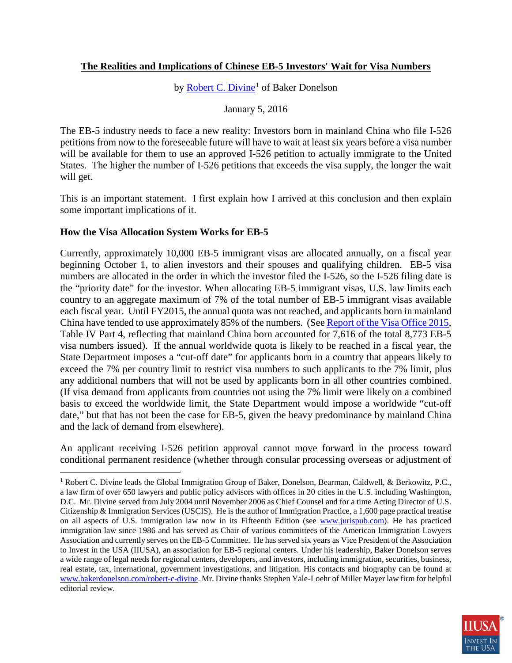## **The Realities and Implications of Chinese EB-5 Investors' Wait for Visa Numbers**

by <u>Robert C. Divine</u><sup>[1](#page-0-0)</sup> of Baker Donelson

January 5, 2016

The EB-5 industry needs to face a new reality: Investors born in mainland China who file I-526 petitions from now to the foreseeable future will have to wait at least six years before a visa number will be available for them to use an approved I-526 petition to actually immigrate to the United States. The higher the number of I-526 petitions that exceeds the visa supply, the longer the wait will get.

This is an important statement. I first explain how I arrived at this conclusion and then explain some important implications of it.

### **How the Visa Allocation System Works for EB-5**

Currently, approximately 10,000 EB-5 immigrant visas are allocated annually, on a fiscal year beginning October 1, to alien investors and their spouses and qualifying children. EB-5 visa numbers are allocated in the order in which the investor filed the I-526, so the I-526 filing date is the "priority date" for the investor. When allocating EB-5 immigrant visas, U.S. law limits each country to an aggregate maximum of 7% of the total number of EB-5 immigrant visas available each fiscal year. Until FY2015, the annual quota was not reached, and applicants born in mainland China have tended to use approximately 85% of the numbers. (See [Report of the Visa Office 2015,](http://travel.state.gov/content/visas/en/law-and-policy/statistics/annual-reports/report-of-the-visa-office-2015.html) Table IV Part 4, reflecting that mainland China born accounted for 7,616 of the total 8,773 EB-5 visa numbers issued). If the annual worldwide quota is likely to be reached in a fiscal year, the State Department imposes a "cut-off date" for applicants born in a country that appears likely to exceed the 7% per country limit to restrict visa numbers to such applicants to the 7% limit, plus any additional numbers that will not be used by applicants born in all other countries combined. (If visa demand from applicants from countries not using the 7% limit were likely on a combined basis to exceed the worldwide limit, the State Department would impose a worldwide "cut-off date," but that has not been the case for EB-5, given the heavy predominance by mainland China and the lack of demand from elsewhere).

An applicant receiving I-526 petition approval cannot move forward in the process toward conditional permanent residence (whether through consular processing overseas or adjustment of

<span id="page-0-0"></span><sup>&</sup>lt;sup>1</sup> Robert C. Divine leads the Global Immigration Group of Baker, Donelson, Bearman, Caldwell, & Berkowitz, P.C., a law firm of over 650 lawyers and public policy advisors with offices in 20 cities in the U.S. including Washington, D.C. Mr. Divine served from July 2004 until November 2006 as Chief Counsel and for a time Acting Director of U.S. Citizenship & Immigration Services (USCIS). He is the author of Immigration Practice, a 1,600 page practical treatise on all aspects of U.S. immigration law now in its Fifteenth Edition (see [www.jurispub.com\)](http://www.jurispub.com/). He has practiced immigration law since 1986 and has served as Chair of various committees of the American Immigration Lawyers Association and currently serves on the EB-5 Committee. He has served six years as Vice President of the Association to Invest in the USA (IIUSA), an association for EB-5 regional centers. Under his leadership, Baker Donelson serves a wide range of legal needs for regional centers, developers, and investors, including immigration, securities, business, real estate, tax, international, government investigations, and litigation. His contacts and biography can be found at [www.bakerdonelson.com/robert-c-divine.](http://www.bakerdonelson.com/robert-c-divine) Mr. Divine thanks Stephen Yale-Loehr of Miller Mayer law firm for helpful editorial review.  $\overline{a}$ 

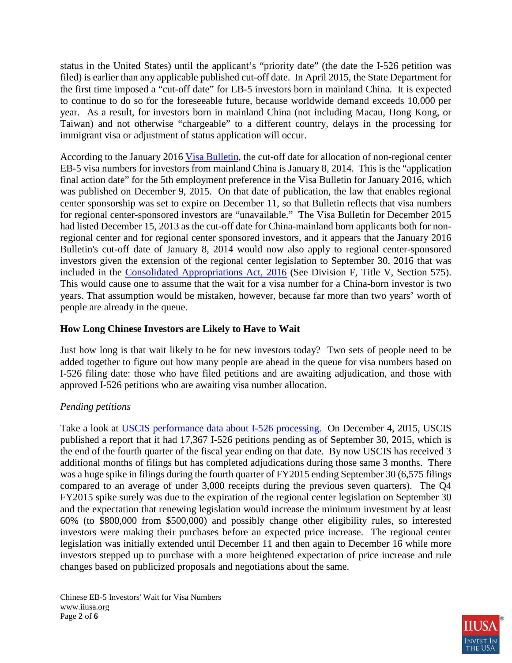status in the United States) until the applicant's "priority date" (the date the I-526 petition was filed) is earlier than any applicable published cut-off date. In April 2015, the State Department for the first time imposed a "cut-off date" for EB-5 investors born in mainland China. It is expected to continue to do so for the foreseeable future, because worldwide demand exceeds 10,000 per year. As a result, for investors born in mainland China (not including Macau, Hong Kong, or Taiwan) and not otherwise "chargeable" to a different country, delays in the processing for immigrant visa or adjustment of status application will occur.

According to the January 2016 [Visa Bulletin,](http://travel.state.gov/content/visas/en/law-and-policy/bulletin.html) the cut-off date for allocation of non-regional center EB-5 visa numbers for investors from mainland China is January 8, 2014. This is the "application final action date" for the 5th employment preference in the Visa Bulletin for January 2016, which was published on December 9, 2015. On that date of publication, the law that enables regional center sponsorship was set to expire on December 11, so that Bulletin reflects that visa numbers for regional center-sponsored investors are "unavailable." The Visa Bulletin for December 2015 had listed December 15, 2013 as the cut-off date for China-mainland born applicants both for nonregional center and for regional center sponsored investors, and it appears that the January 2016 Bulletin's cut-off date of January 8, 2014 would now also apply to regional center-sponsored investors given the extension of the regional center legislation to September 30, 2016 that was included in the [Consolidated Appropriations Act, 2016](https://www.congress.gov/bill/114th-congress/house-bill/2029/text) (See Division F, Title V, Section 575). This would cause one to assume that the wait for a visa number for a China-born investor is two years. That assumption would be mistaken, however, because far more than two years' worth of people are already in the queue.

## **How Long Chinese Investors are Likely to Have to Wait**

Just how long is that wait likely to be for new investors today? Two sets of people need to be added together to figure out how many people are ahead in the queue for visa numbers based on I-526 filing date: those who have filed petitions and are awaiting adjudication, and those with approved I-526 petitions who are awaiting visa number allocation.

### *Pending petitions*

Take a look at [USCIS performance data about I-526 processing.](http://www.uscis.gov/tools/reports-studies/immigration-forms-data/data-set-form-i-526-immigrant-petition-alien-entrepreneur) On December 4, 2015, USCIS published a report that it had 17,367 I-526 petitions pending as of September 30, 2015, which is the end of the fourth quarter of the fiscal year ending on that date. By now USCIS has received 3 additional months of filings but has completed adjudications during those same 3 months. There was a huge spike in filings during the fourth quarter of FY2015 ending September 30 (6,575 filings compared to an average of under 3,000 receipts during the previous seven quarters). The Q4 FY2015 spike surely was due to the expiration of the regional center legislation on September 30 and the expectation that renewing legislation would increase the minimum investment by at least 60% (to \$800,000 from \$500,000) and possibly change other eligibility rules, so interested investors were making their purchases before an expected price increase. The regional center legislation was initially extended until December 11 and then again to December 16 while more investors stepped up to purchase with a more heightened expectation of price increase and rule changes based on publicized proposals and negotiations about the same.

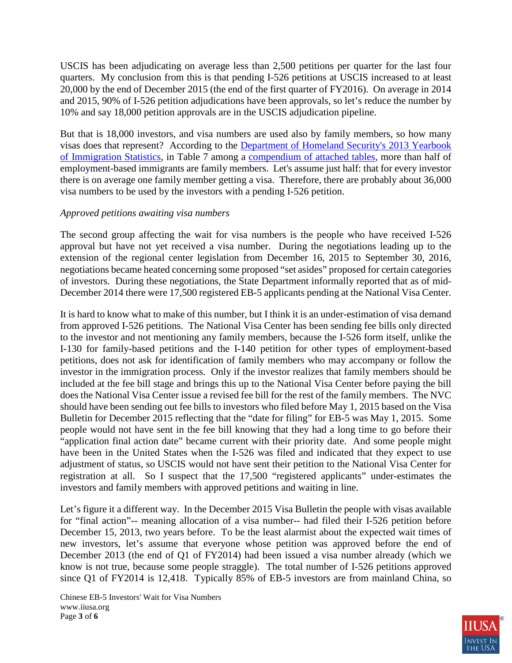USCIS has been adjudicating on average less than 2,500 petitions per quarter for the last four quarters. My conclusion from this is that pending I-526 petitions at USCIS increased to at least 20,000 by the end of December 2015 (the end of the first quarter of FY2016). On average in 2014 and 2015, 90% of I-526 petition adjudications have been approvals, so let's reduce the number by 10% and say 18,000 petition approvals are in the USCIS adjudication pipeline.

But that is 18,000 investors, and visa numbers are used also by family members, so how many visas does that represent? According to the [Department of Homeland Security's 2013 Yearbook](http://www.dhs.gov/publication/yearbook-2013)  [of Immigration Statistics,](http://www.dhs.gov/publication/yearbook-2013) in Table 7 among a [compendium of attached tables,](http://www.dhs.gov/publication/yearbook-immigration-statistics-2013-lawful-permanent-residents) more than half of employment-based immigrants are family members. Let's assume just half: that for every investor there is on average one family member getting a visa. Therefore, there are probably about 36,000 visa numbers to be used by the investors with a pending I-526 petition.

### *Approved petitions awaiting visa numbers*

The second group affecting the wait for visa numbers is the people who have received I-526 approval but have not yet received a visa number. During the negotiations leading up to the extension of the regional center legislation from December 16, 2015 to September 30, 2016, negotiations became heated concerning some proposed "set asides" proposed for certain categories of investors. During these negotiations, the State Department informally reported that as of mid-December 2014 there were 17,500 registered EB-5 applicants pending at the National Visa Center.

It is hard to know what to make of this number, but I think it is an under-estimation of visa demand from approved I-526 petitions. The National Visa Center has been sending fee bills only directed to the investor and not mentioning any family members, because the I-526 form itself, unlike the I-130 for family-based petitions and the I-140 petition for other types of employment-based petitions, does not ask for identification of family members who may accompany or follow the investor in the immigration process. Only if the investor realizes that family members should be included at the fee bill stage and brings this up to the National Visa Center before paying the bill does the National Visa Center issue a revised fee bill for the rest of the family members. The NVC should have been sending out fee bills to investors who filed before May 1, 2015 based on the Visa Bulletin for December 2015 reflecting that the "date for filing" for EB-5 was May 1, 2015. Some people would not have sent in the fee bill knowing that they had a long time to go before their "application final action date" became current with their priority date. And some people might have been in the United States when the I-526 was filed and indicated that they expect to use adjustment of status, so USCIS would not have sent their petition to the National Visa Center for registration at all. So I suspect that the 17,500 "registered applicants" under-estimates the investors and family members with approved petitions and waiting in line.

Let's figure it a different way. In the December 2015 Visa Bulletin the people with visas available for "final action"-- meaning allocation of a visa number-- had filed their I-526 petition before December 15, 2013, two years before. To be the least alarmist about the expected wait times of new investors, let's assume that everyone whose petition was approved before the end of December 2013 (the end of Q1 of FY2014) had been issued a visa number already (which we know is not true, because some people straggle). The total number of I-526 petitions approved since Q1 of FY2014 is 12,418. Typically 85% of EB-5 investors are from mainland China, so

Chinese EB-5 Investors' Wait for Visa Numbers www.iiusa.org Page **3** of **6**

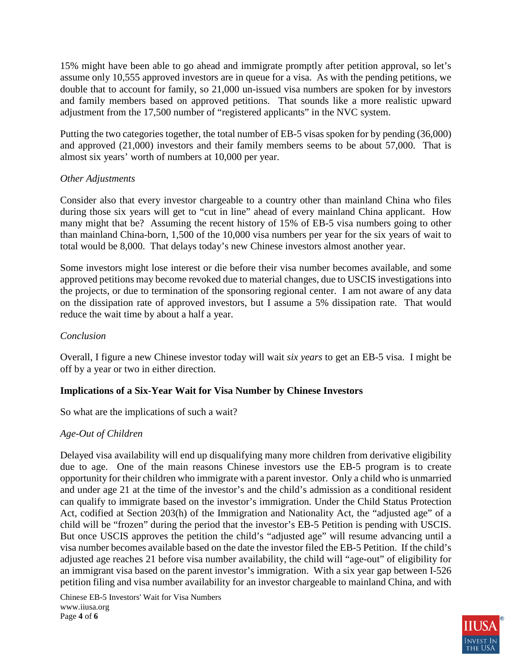15% might have been able to go ahead and immigrate promptly after petition approval, so let's assume only 10,555 approved investors are in queue for a visa. As with the pending petitions, we double that to account for family, so 21,000 un-issued visa numbers are spoken for by investors and family members based on approved petitions. That sounds like a more realistic upward adjustment from the 17,500 number of "registered applicants" in the NVC system.

Putting the two categories together, the total number of EB-5 visas spoken for by pending (36,000) and approved (21,000) investors and their family members seems to be about 57,000. That is almost six years' worth of numbers at 10,000 per year.

### *Other Adjustments*

Consider also that every investor chargeable to a country other than mainland China who files during those six years will get to "cut in line" ahead of every mainland China applicant. How many might that be? Assuming the recent history of 15% of EB-5 visa numbers going to other than mainland China-born, 1,500 of the 10,000 visa numbers per year for the six years of wait to total would be 8,000. That delays today's new Chinese investors almost another year.

Some investors might lose interest or die before their visa number becomes available, and some approved petitions may become revoked due to material changes, due to USCIS investigations into the projects, or due to termination of the sponsoring regional center. I am not aware of any data on the dissipation rate of approved investors, but I assume a 5% dissipation rate. That would reduce the wait time by about a half a year.

## *Conclusion*

Overall, I figure a new Chinese investor today will wait *six years* to get an EB-5 visa. I might be off by a year or two in either direction.

# **Implications of a Six-Year Wait for Visa Number by Chinese Investors**

So what are the implications of such a wait?

# *Age-Out of Children*

Delayed visa availability will end up disqualifying many more children from derivative eligibility due to age. One of the main reasons Chinese investors use the EB-5 program is to create opportunity for their children who immigrate with a parent investor. Only a child who is unmarried and under age 21 at the time of the investor's and the child's admission as a conditional resident can qualify to immigrate based on the investor's immigration. Under the Child Status Protection Act, codified at Section 203(h) of the Immigration and Nationality Act, the "adjusted age" of a child will be "frozen" during the period that the investor's EB-5 Petition is pending with USCIS. But once USCIS approves the petition the child's "adjusted age" will resume advancing until a visa number becomes available based on the date the investor filed the EB-5 Petition. If the child's adjusted age reaches 21 before visa number availability, the child will "age-out" of eligibility for an immigrant visa based on the parent investor's immigration. With a six year gap between I-526 petition filing and visa number availability for an investor chargeable to mainland China, and with

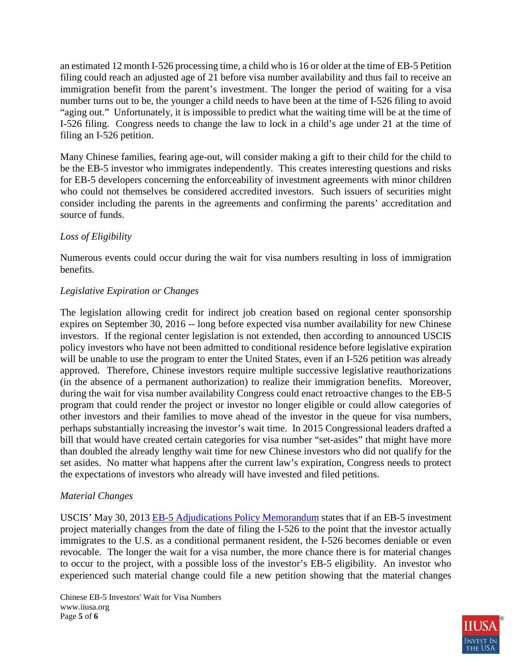an estimated 12 month I-526 processing time, a child who is 16 or older at the time of EB-5 Petition filing could reach an adjusted age of 21 before visa number availability and thus fail to receive an immigration benefit from the parent's investment. The longer the period of waiting for a visa number turns out to be, the younger a child needs to have been at the time of I-526 filing to avoid "aging out." Unfortunately, it is impossible to predict what the waiting time will be at the time of I-526 filing. Congress needs to change the law to lock in a child's age under 21 at the time of filing an I-526 petition.

Many Chinese families, fearing age-out, will consider making a gift to their child for the child to be the EB-5 investor who immigrates independently. This creates interesting questions and risks for EB-5 developers concerning the enforceability of investment agreements with minor children who could not themselves be considered accredited investors. Such issuers of securities might consider including the parents in the agreements and confirming the parents' accreditation and source of funds.

## *Loss of Eligibility*

Numerous events could occur during the wait for visa numbers resulting in loss of immigration benefits.

## *Legislative Expiration or Changes*

The legislation allowing credit for indirect job creation based on regional center sponsorship expires on September 30, 2016 -- long before expected visa number availability for new Chinese investors. If the regional center legislation is not extended, then according to announced USCIS policy investors who have not been admitted to conditional residence before legislative expiration will be unable to use the program to enter the United States, even if an I-526 petition was already approved. Therefore, Chinese investors require multiple successive legislative reauthorizations (in the absence of a permanent authorization) to realize their immigration benefits. Moreover, during the wait for visa number availability Congress could enact retroactive changes to the EB-5 program that could render the project or investor no longer eligible or could allow categories of other investors and their families to move ahead of the investor in the queue for visa numbers, perhaps substantially increasing the investor's wait time. In 2015 Congressional leaders drafted a bill that would have created certain categories for visa number "set-asides" that might have more than doubled the already lengthy wait time for new Chinese investors who did not qualify for the set asides. No matter what happens after the current law's expiration, Congress needs to protect the expectations of investors who already will have invested and filed petitions.

### *Material Changes*

USCIS' May 30, 2013 [EB-5 Adjudications Policy Memorandum](http://www.uscis.gov/sites/default/files/USCIS/Laws/Memoranda/2013/May/EB-5%20Adjudications%20PM%20(Approved%20as%20final%205-30-13).pdf) states that if an EB-5 investment project materially changes from the date of filing the I-526 to the point that the investor actually immigrates to the U.S. as a conditional permanent resident, the I-526 becomes deniable or even revocable. The longer the wait for a visa number, the more chance there is for material changes to occur to the project, with a possible loss of the investor's EB-5 eligibility. An investor who experienced such material change could file a new petition showing that the material changes

Chinese EB-5 Investors' Wait for Visa Numbers www.iiusa.org Page **5** of **6**